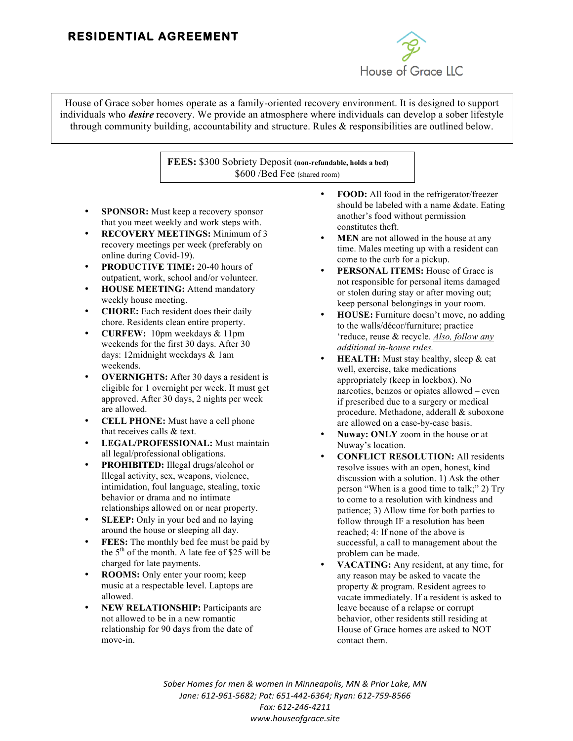## **RESIDENTIAL AGREEMENT**



 House of Grace sober homes operate as a family-oriented recovery environment. It is designed to support  individuals who *desire* recovery. We provide an atmosphere where individuals can develop a sober lifestyle through community building, accountability and structure. Rules & responsibilities are outlined below.

> **FEES:** \$300 Sobriety Deposit **(non-refundable, holds a bed)** \$600 /Bed Fee (shared room)

- **SPONSOR:** Must keep a recovery sponsor that you meet weekly and work steps with.
- **RECOVERY MEETINGS:** Minimum of 3 recovery meetings per week (preferably on online during Covid-19).
- **PRODUCTIVE TIME:** 20-40 hours of outpatient, work, school and/or volunteer.
- **HOUSE MEETING:** Attend mandatory weekly house meeting.
- **CHORE:** Each resident does their daily chore. Residents clean entire property.
- **CURFEW:** 10pm weekdays & 11pm weekends for the first 30 days. After 30 days: 12midnight weekdays & 1am weekends.
- **OVERNIGHTS:** After 30 days a resident is eligible for 1 overnight per week. It must get approved. After 30 days, 2 nights per week are allowed.
- **CELL PHONE:** Must have a cell phone that receives calls & text.
- **LEGAL/PROFESSIONAL:** Must maintain all legal/professional obligations.
- **PROHIBITED:** Illegal drugs/alcohol or Illegal activity, sex, weapons, violence, intimidation, foul language, stealing, toxic behavior or drama and no intimate relationships allowed on or near property.
- **SLEEP:** Only in your bed and no laying around the house or sleeping all day.
- **FEES:** The monthly bed fee must be paid by the  $5<sup>th</sup>$  of the month. A late fee of \$25 will be charged for late payments.
- **ROOMS:** Only enter your room; keep music at a respectable level. Laptops are allowed.
- **NEW RELATIONSHIP:** Participants are not allowed to be in a new romantic relationship for 90 days from the date of move-in.
- **FOOD:** All food in the refrigerator/freezer should be labeled with a name &date. Eating another's food without permission constitutes theft.
- **MEN** are not allowed in the house at any time. Males meeting up with a resident can come to the curb for a pickup.
- **PERSONAL ITEMS:** House of Grace is not responsible for personal items damaged or stolen during stay or after moving out; keep personal belongings in your room.
- **HOUSE:** Furniture doesn't move, no adding to the walls/décor/furniture; practice 'reduce, reuse & recycle*. Also, follow any additional in-house rules.*
- **HEALTH:** Must stay healthy, sleep & eat well, exercise, take medications appropriately (keep in lockbox). No narcotics, benzos or opiates allowed – even if prescribed due to a surgery or medical procedure. Methadone, adderall & suboxone are allowed on a case-by-case basis.
- **Nuway: ONLY** zoom in the house or at Nuway's location.
- **CONFLICT RESOLUTION:** All residents resolve issues with an open, honest, kind discussion with a solution. 1) Ask the other person "When is a good time to talk;" 2) Try to come to a resolution with kindness and patience; 3) Allow time for both parties to follow through IF a resolution has been reached; 4: If none of the above is successful, a call to management about the problem can be made.
- **VACATING:** Any resident, at any time, for any reason may be asked to vacate the property & program. Resident agrees to vacate immediately. If a resident is asked to leave because of a relapse or corrupt behavior, other residents still residing at House of Grace homes are asked to NOT contact them.

Sober Homes for men & women in Minneapolis, MN & Prior Lake, MN Jane: 612-961-5682; Pat: 651-442-6364; Ryan: 612-759-8566 *Fax: 612-246-4211 www.houseofgrace.site*